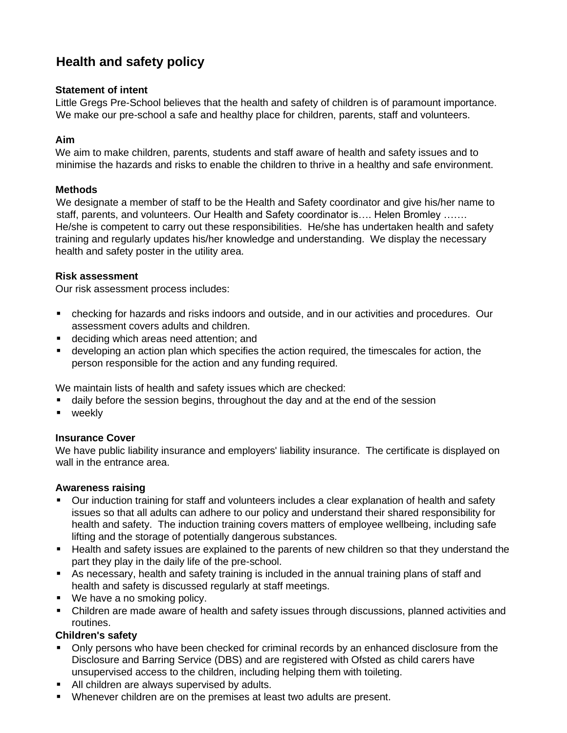# **Health and safety policy**

## **Statement of intent**

Little Gregs Pre-School believes that the health and safety of children is of paramount importance. We make our pre-school a safe and healthy place for children, parents, staff and volunteers.

# **Aim**

We aim to make children, parents, students and staff aware of health and safety issues and to minimise the hazards and risks to enable the children to thrive in a healthy and safe environment.

# **Methods**

We designate a member of staff to be the Health and Safety coordinator and give his/her name to staff, parents, and volunteers. Our Health and Safety coordinator is.... Helen Bromley ....... He/she is competent to carry out these responsibilities. He/she has undertaken health and safety training and regularly updates his/her knowledge and understanding. We display the necessary health and safety poster in the utility area.

## **Risk assessment**

Our risk assessment process includes:

- checking for hazards and risks indoors and outside, and in our activities and procedures. Our assessment covers adults and children.
- deciding which areas need attention; and
- **EXEDENT** developing an action plan which specifies the action required, the timescales for action, the person responsible for the action and any funding required.

We maintain lists of health and safety issues which are checked:

- daily before the session begins, throughout the day and at the end of the session
- weekly

# **Insurance Cover**

We have public liability insurance and employers' liability insurance. The certificate is displayed on wall in the entrance area.

# **Awareness raising**

- Our induction training for staff and volunteers includes a clear explanation of health and safety issues so that all adults can adhere to our policy and understand their shared responsibility for health and safety. The induction training covers matters of employee wellbeing, including safe lifting and the storage of potentially dangerous substances.
- Health and safety issues are explained to the parents of new children so that they understand the part they play in the daily life of the pre-school.
- As necessary, health and safety training is included in the annual training plans of staff and health and safety is discussed regularly at staff meetings.
- We have a no smoking policy.
- Children are made aware of health and safety issues through discussions, planned activities and routines.

# **Children's safety**

- **•** Only persons who have been checked for criminal records by an enhanced disclosure from the Disclosure and Barring Service (DBS) and are registered with Ofsted as child carers have unsupervised access to the children, including helping them with toileting.
- All children are always supervised by adults.
- Whenever children are on the premises at least two adults are present.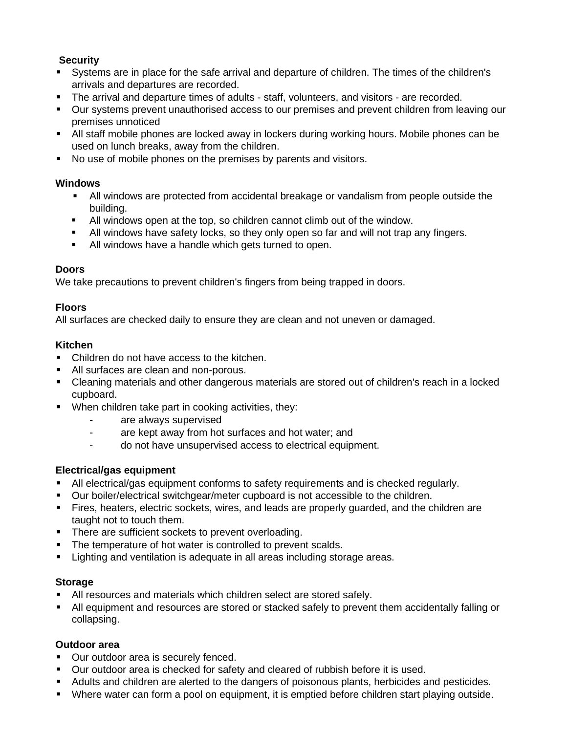# **Security**

- Systems are in place for the safe arrival and departure of children. The times of the children's arrivals and departures are recorded.
- **The arrival and departure times of adults staff, volunteers, and visitors are recorded.**
- Our systems prevent unauthorised access to our premises and prevent children from leaving our premises unnoticed
- All staff mobile phones are locked away in lockers during working hours. Mobile phones can be used on lunch breaks, away from the children.
- No use of mobile phones on the premises by parents and visitors.

## **Windows**

- All windows are protected from accidental breakage or vandalism from people outside the building.
- All windows open at the top, so children cannot climb out of the window.
- **E** All windows have safety locks, so they only open so far and will not trap any fingers.
- All windows have a handle which gets turned to open.

## **Doors**

We take precautions to prevent children's fingers from being trapped in doors.

#### **Floors**

All surfaces are checked daily to ensure they are clean and not uneven or damaged.

## **Kitchen**

- Children do not have access to the kitchen.
- All surfaces are clean and non-porous.
- Cleaning materials and other dangerous materials are stored out of children's reach in a locked cupboard.
- When children take part in cooking activities, they:
	- are always supervised
	- are kept away from hot surfaces and hot water; and
	- do not have unsupervised access to electrical equipment.

# **Electrical/gas equipment**

- **E** All electrical/gas equipment conforms to safety requirements and is checked regularly.
- Our boiler/electrical switchgear/meter cupboard is not accessible to the children.
- **EXTERS**, heaters, electric sockets, wires, and leads are properly guarded, and the children are taught not to touch them.
- **•** There are sufficient sockets to prevent overloading.
- **•** The temperature of hot water is controlled to prevent scalds.
- Lighting and ventilation is adequate in all areas including storage areas.

#### **Storage**

- All resources and materials which children select are stored safely.
- All equipment and resources are stored or stacked safely to prevent them accidentally falling or collapsing.

# **Outdoor area**

- Our outdoor area is securely fenced.
- Our outdoor area is checked for safety and cleared of rubbish before it is used.
- Adults and children are alerted to the dangers of poisonous plants, herbicides and pesticides.
- Where water can form a pool on equipment, it is emptied before children start playing outside.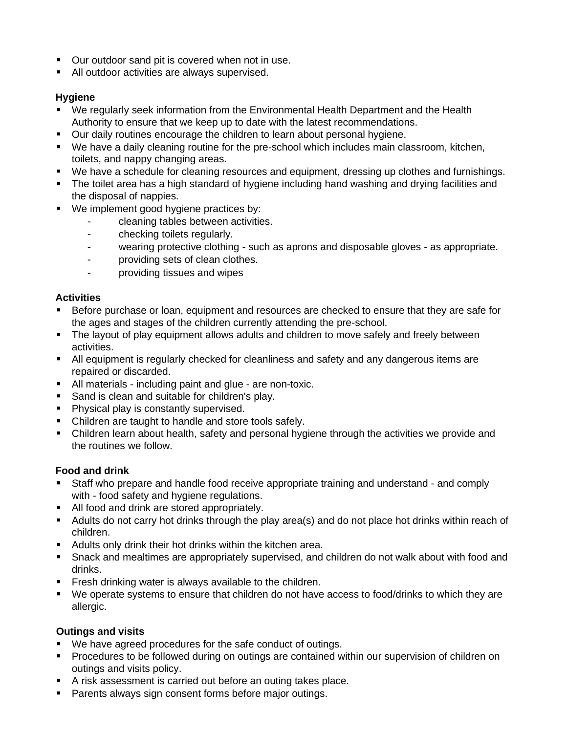- Our outdoor sand pit is covered when not in use.
- All outdoor activities are always supervised.

# **Hygiene**

- We regularly seek information from the Environmental Health Department and the Health Authority to ensure that we keep up to date with the latest recommendations.
- Our daily routines encourage the children to learn about personal hygiene.
- We have a daily cleaning routine for the pre-school which includes main classroom, kitchen, toilets, and nappy changing areas.
- We have a schedule for cleaning resources and equipment, dressing up clothes and furnishings.
- The toilet area has a high standard of hygiene including hand washing and drying facilities and the disposal of nappies.
- We implement good hygiene practices by:
	- cleaning tables between activities.
	- checking toilets regularly.
	- wearing protective clothing such as aprons and disposable gloves as appropriate.
	- providing sets of clean clothes.
	- providing tissues and wipes

## **Activities**

- Before purchase or loan, equipment and resources are checked to ensure that they are safe for the ages and stages of the children currently attending the pre-school.
- The layout of play equipment allows adults and children to move safely and freely between activities.
- All equipment is regularly checked for cleanliness and safety and any dangerous items are repaired or discarded.
- All materials including paint and glue are non-toxic.
- Sand is clean and suitable for children's play.
- Physical play is constantly supervised.
- Children are taught to handle and store tools safely.
- Children learn about health, safety and personal hygiene through the activities we provide and the routines we follow.

#### **Food and drink**

- Staff who prepare and handle food receive appropriate training and understand and comply with - food safety and hygiene regulations.
- All food and drink are stored appropriately.
- **E** Adults do not carry hot drinks through the play area(s) and do not place hot drinks within reach of children.
- **E** Adults only drink their hot drinks within the kitchen area.
- Snack and mealtimes are appropriately supervised, and children do not walk about with food and drinks.
- **Filter Fresh drinking water is always available to the children.**
- We operate systems to ensure that children do not have access to food/drinks to which they are allergic.

#### **Outings and visits**

- We have agreed procedures for the safe conduct of outings.
- Procedures to be followed during on outings are contained within our supervision of children on outings and visits policy.
- A risk assessment is carried out before an outing takes place.
- Parents always sign consent forms before major outings.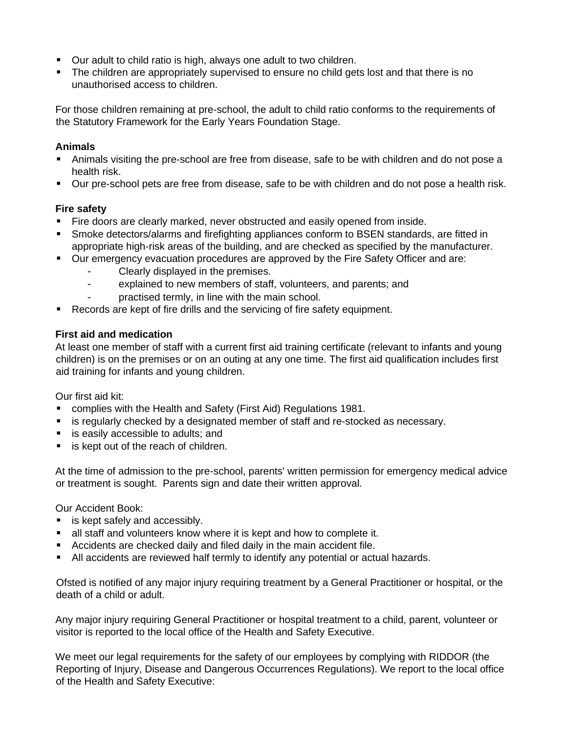- Our adult to child ratio is high, always one adult to two children.
- The children are appropriately supervised to ensure no child gets lost and that there is no unauthorised access to children.

For those children remaining at pre-school, the adult to child ratio conforms to the requirements of the Statutory Framework for the Early Years Foundation Stage.

# **Animals**

- Animals visiting the pre-school are free from disease, safe to be with children and do not pose a health risk.
- Our pre-school pets are free from disease, safe to be with children and do not pose a health risk.

# **Fire safety**

- Fire doors are clearly marked, never obstructed and easily opened from inside.
- Smoke detectors/alarms and firefighting appliances conform to BSEN standards, are fitted in appropriate high-risk areas of the building, and are checked as specified by the manufacturer.
- Our emergency evacuation procedures are approved by the Fire Safety Officer and are:
	- Clearly displayed in the premises.
	- explained to new members of staff, volunteers, and parents; and
	- practised termly, in line with the main school.
- Records are kept of fire drills and the servicing of fire safety equipment.

## **First aid and medication**

At least one member of staff with a current first aid training certificate (relevant to infants and young children) is on the premises or on an outing at any one time. The first aid qualification includes first aid training for infants and young children.

Our first aid kit:

- complies with the Health and Safety (First Aid) Regulations 1981.
- **E** is regularly checked by a designated member of staff and re-stocked as necessary.
- is easily accessible to adults; and
- is kept out of the reach of children.

At the time of admission to the pre-school, parents' written permission for emergency medical advice or treatment is sought. Parents sign and date their written approval.

Our Accident Book:

- is kept safely and accessibly.
- all staff and volunteers know where it is kept and how to complete it.
- Accidents are checked daily and filed daily in the main accident file.
- **E** All accidents are reviewed half termly to identify any potential or actual hazards.

Ofsted is notified of any major injury requiring treatment by a General Practitioner or hospital, or the death of a child or adult.

Any major injury requiring General Practitioner or hospital treatment to a child, parent, volunteer or visitor is reported to the local office of the Health and Safety Executive.

We meet our legal requirements for the safety of our employees by complying with RIDDOR (the Reporting of Injury, Disease and Dangerous Occurrences Regulations). We report to the local office of the Health and Safety Executive: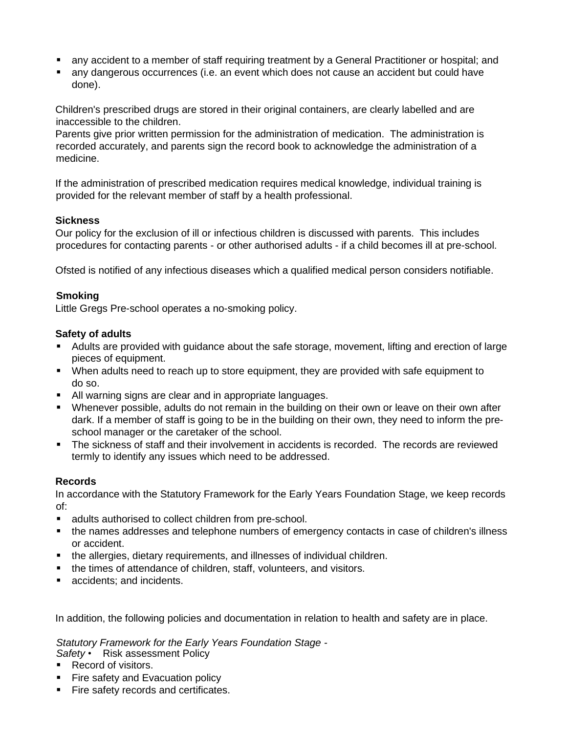- any accident to a member of staff requiring treatment by a General Practitioner or hospital; and
- any dangerous occurrences (i.e. an event which does not cause an accident but could have done).

Children's prescribed drugs are stored in their original containers, are clearly labelled and are inaccessible to the children.

Parents give prior written permission for the administration of medication. The administration is recorded accurately, and parents sign the record book to acknowledge the administration of a medicine.

If the administration of prescribed medication requires medical knowledge, individual training is provided for the relevant member of staff by a health professional.

## **Sickness**

Our policy for the exclusion of ill or infectious children is discussed with parents. This includes procedures for contacting parents - or other authorised adults - if a child becomes ill at pre-school.

Ofsted is notified of any infectious diseases which a qualified medical person considers notifiable.

## **Smoking**

Little Gregs Pre-school operates a no-smoking policy.

## **Safety of adults**

- Adults are provided with guidance about the safe storage, movement, lifting and erection of large pieces of equipment.
- When adults need to reach up to store equipment, they are provided with safe equipment to do so.
- **E** All warning signs are clear and in appropriate languages.
- **■** Whenever possible, adults do not remain in the building on their own or leave on their own after dark. If a member of staff is going to be in the building on their own, they need to inform the preschool manager or the caretaker of the school.
- The sickness of staff and their involvement in accidents is recorded. The records are reviewed termly to identify any issues which need to be addressed.

# **Records**

In accordance with the Statutory Framework for the Early Years Foundation Stage, we keep records of:

- adults authorised to collect children from pre-school.
- the names addresses and telephone numbers of emergency contacts in case of children's illness or accident.
- **the allergies, dietary requirements, and illnesses of individual children.**
- the times of attendance of children, staff, volunteers, and visitors.
- accidents; and incidents.

In addition, the following policies and documentation in relation to health and safety are in place.

*Statutory Framework for the Early Years Foundation Stage -*

*Safety* • Risk assessment Policy

- Record of visitors.
- **Example 1** Fire safety and Evacuation policy
- **EXEC** Fire safety records and certificates.